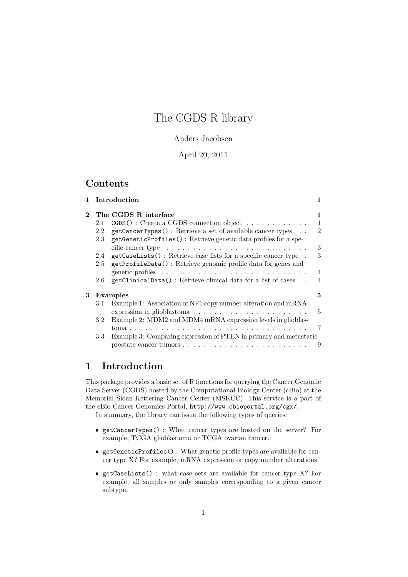# The CGDS-R library

#### Anders Jacobsen

#### April 20, 2011

## Contents

|            | 1 Introduction |                                                                                    | 1              |  |
|------------|----------------|------------------------------------------------------------------------------------|----------------|--|
| $\bf{2}^-$ |                | The CGDS R interface                                                               | 1              |  |
|            | 2.1            | $CGDS()$ : Create a CGDS connection object                                         | $\mathbf{1}$   |  |
|            | 2.2            | getCancerTypes(): Retrieve a set of available cancer types                         | $\overline{2}$ |  |
|            | 2.3            | getGeneticProfiles(): Retrieve genetic data profiles for a spe-                    |                |  |
|            |                | cific cancer type $\ldots \ldots \ldots \ldots \ldots \ldots \ldots \ldots \ldots$ | 3              |  |
|            | 2.4            | getCaseLists(): Retrieve case lists for a specific cancer type.                    | 3              |  |
|            | $2.5\,$        | getProfileData(): Retrieve genomic profile data for genes and                      |                |  |
|            |                |                                                                                    | $\overline{4}$ |  |
|            | 2.6            | getClinicalData(): Retrieve clinical data for a list of cases                      | 4              |  |
| 3          |                | Examples                                                                           | 5              |  |
|            | 3.1            | Example 1: Association of NF1 copy number alteration and mRNA                      |                |  |
|            |                | expression in glioblastoma                                                         | 5              |  |
|            | $3.2\,$        | Example 2: MDM2 and MDM4 mRNA expression levels in glioblas-                       |                |  |
|            |                |                                                                                    | 7              |  |
|            | $3.3\,$        | Example 3: Comparing expression of PTEN in primary and metastatic                  |                |  |
|            |                |                                                                                    | 9              |  |
|            |                |                                                                                    |                |  |

## 1 Introduction

This package provides a basic set of R functions for querying the Cancer Genomic Data Server (CGDS) hosted by the Computational Biology Center (cBio) at the Memorial Sloan-Kettering Cancer Center (MSKCC). This service is a part of the cBio Cancer Genomics Portal, http://www.cbioportal.org/cgx/. In summary, the library can issue the following types of queries:

- getCancerTypes() : What cancer types are hosted on the server? For example, TCGA glioblastoma or TCGA ovarian cancer.
- getGeneticProfiles() : What genetic profile types are available for cancer type X? For example, mRNA expression or copy number alterations.
- getCaseLists() : what case sets are available for cancer type X? For example, all samples or only samples corresponding to a given cancer subtype.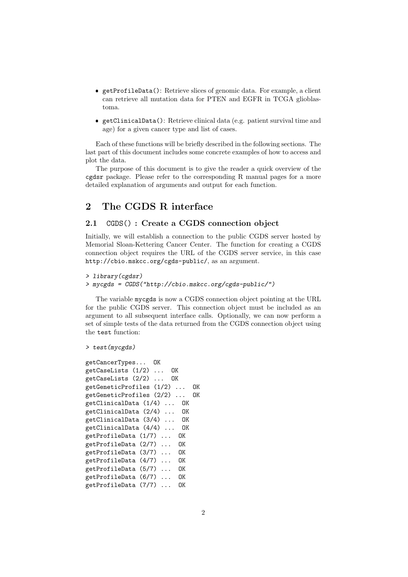- getProfileData(): Retrieve slices of genomic data. For example, a client can retrieve all mutation data for PTEN and EGFR in TCGA glioblastoma.
- getClinicalData(): Retrieve clinical data (e.g. patient survival time and age) for a given cancer type and list of cases.

Each of these functions will be briefly described in the following sections. The last part of this document includes some concrete examples of how to access and plot the data.

The purpose of this document is to give the reader a quick overview of the cgdsr package. Please refer to the corresponding R manual pages for a more detailed explanation of arguments and output for each function.

## 2 The CGDS R interface

#### 2.1 CGDS() : Create a CGDS connection object

Initially, we will establish a connection to the public CGDS server hosted by Memorial Sloan-Kettering Cancer Center. The function for creating a CGDS connection object requires the URL of the CGDS server service, in this case http://cbio.mskcc.org/cgds-public/, as an argument.

```
> library(cgdsr)
```

```
> mycgds = CGDS("http://cbio.mskcc.org/cgds-public/")
```
The variable mycgds is now a CGDS connection object pointing at the URL for the public CGDS server. This connection object must be included as an argument to all subsequent interface calls. Optionally, we can now perform a set of simple tests of the data returned from the CGDS connection object using the test function:

```
> test(mycgds)
```

```
getCancerTypes... OK
getCaseLists (1/2) ... OK
getCaseLists (2/2) ... OK
getGeneticProfiles (1/2) ... OK
getGeneticProfiles (2/2) ... OK
getClinicalData (1/4) ... OK
getClinicalData (2/4) ... OK
getClinicalData (3/4) ... OK
getClinicalData (4/4) ... OK
getProfileData (1/7) ... OK
getProfileData (2/7) ... OK
getProfileData (3/7) ... OK
getProfileData (4/7) ... OK
getProfileData (5/7) ... OK
getProfileData (6/7) ... OK
getProfileData (7/7) ... OK
```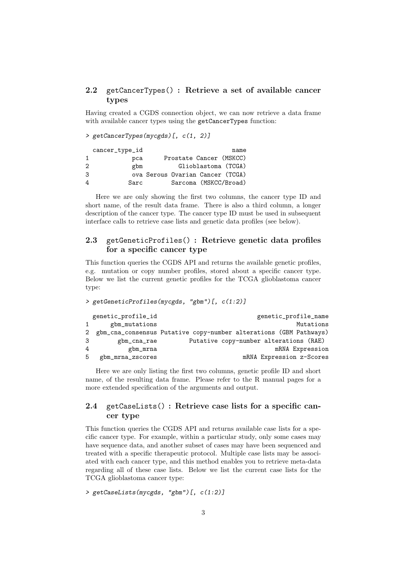#### 2.2 getCancerTypes() : Retrieve a set of available cancer types

Having created a CGDS connection object, we can now retrieve a data frame with available cancer types using the getCancerTypes function:

> getCancerTypes(mycgds)[, c(1, 2)]

|   | cancer_type_id |  | name                             |
|---|----------------|--|----------------------------------|
|   | pca            |  | Prostate Cancer (MSKCC)          |
| 2 | gbm            |  | Glioblastoma (TCGA)              |
| 3 |                |  | ova Serous Ovarian Cancer (TCGA) |
| 4 | Sarc           |  | Sarcoma (MSKCC/Broad)            |

Here we are only showing the first two columns, the cancer type ID and short name, of the result data frame. There is also a third column, a longer description of the cancer type. The cancer type ID must be used in subsequent interface calls to retrieve case lists and genetic data profiles (see below).

#### 2.3 getGeneticProfiles() : Retrieve genetic data profiles for a specific cancer type

This function queries the CGDS API and returns the available genetic profiles, e.g. mutation or copy number profiles, stored about a specific cancer type. Below we list the current genetic profiles for the TCGA glioblastoma cancer type:

> getGeneticProfiles(mycgds, "gbm")[, c(1:2)]

|    | genetic_profile_id | genetic_profile_name                                                |
|----|--------------------|---------------------------------------------------------------------|
| 1  | gbm_mutations      | Mutations                                                           |
|    |                    | 2 gbm_cna_consensus Putative copy-number alterations (GBM Pathways) |
| 3  | gbm_cna_rae        | Putative copy-number alterations (RAE)                              |
| 4  | gbm_mrna           | mRNA Expression                                                     |
| -5 | gbm_mrna_zscores   | mRNA Expression z-Scores                                            |

Here we are only listing the first two columns, genetic profile ID and short name, of the resulting data frame. Please refer to the R manual pages for a more extended specification of the arguments and output.

#### 2.4 getCaseLists() : Retrieve case lists for a specific cancer type

This function queries the CGDS API and returns available case lists for a specific cancer type. For example, within a particular study, only some cases may have sequence data, and another subset of cases may have been sequenced and treated with a specific therapeutic protocol. Multiple case lists may be associated with each cancer type, and this method enables you to retrieve meta-data regarding all of these case lists. Below we list the current case lists for the TCGA glioblastoma cancer type:

```
> getCaseLists(mycgds, "gbm")[, c(1:2)]
```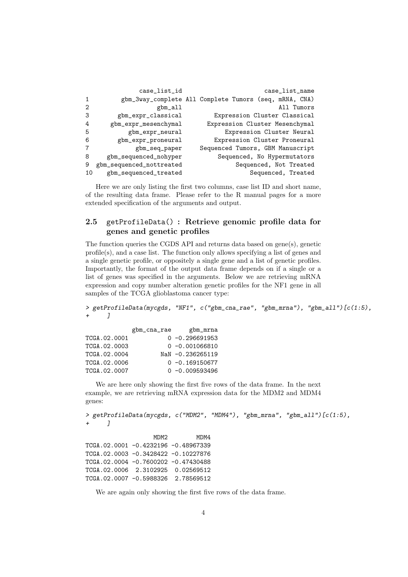|                | case_list_id             | case_list_name                                         |
|----------------|--------------------------|--------------------------------------------------------|
| $\overline{1}$ |                          | gbm_3way_complete All Complete Tumors (seq, mRNA, CNA) |
| $\overline{2}$ | gbm_all                  | All Tumors                                             |
| 3              | gbm_expr_classical       | Expression Cluster Classical                           |
| 4              | gbm_expr_mesenchymal     | Expression Cluster Mesenchymal                         |
| -5             | gbm_expr_neural          | Expression Cluster Neural                              |
| 6              | gbm_expr_proneural       | Expression Cluster Proneural                           |
|                | gbm_seq_paper            | Sequenced Tumors, GBM Manuscript                       |
| 8              | gbm_sequenced_nohyper    | Sequenced, No Hypermutators                            |
| 9              | gbm_sequenced_nottreated | Sequenced, Not Treated                                 |
| 10             | gbm_sequenced_treated    | Sequenced, Treated                                     |

Here we are only listing the first two columns, case list ID and short name, of the resulting data frame. Please refer to the R manual pages for a more extended specification of the arguments and output.

#### 2.5 getProfileData() : Retrieve genomic profile data for genes and genetic profiles

The function queries the CGDS API and returns data based on gene(s), genetic profile(s), and a case list. The function only allows specifying a list of genes and a single genetic profile, or oppositely a single gene and a list of genetic profiles. Importantly, the format of the output data frame depends on if a single or a list of genes was specified in the arguments. Below we are retrieving mRNA expression and copy number alteration genetic profiles for the NF1 gene in all samples of the TCGA glioblastoma cancer type:

> getProfileData(mycgds, "NF1", c("gbm\_cna\_rae", "gbm\_mrna"), "gbm\_all")[c(1:5),  $\overline{J}$ 

|              | gbm_cna_rae | gbm_mrna         |
|--------------|-------------|------------------|
| TCGA.02.0001 |             | $0 -0.296691953$ |
| TCGA.02.0003 |             | $0 -0.001066810$ |
| TCGA.02.0004 |             | NaN -0.236265119 |
| TCGA.02.0006 |             | $0 -0.169150677$ |
| TCGA.02.0007 |             | $0 -0.009593496$ |

We are here only showing the first five rows of the data frame. In the next example, we are retrieving mRNA expression data for the MDM2 and MDM4 genes:

```
> getProfileData(mycgds, c("MDM2", "MDM4"), "gbm_mrna", "gbm_all")[c(1:5),
      \overline{J}
```
MDM2 MDM4 TCGA.02.0001 -0.4232196 -0.48967339 TCGA.02.0003 -0.3428422 -0.10227876 TCGA.02.0004 -0.7600202 -0.47430488 TCGA.02.0006 2.3102925 0.02569512 TCGA.02.0007 -0.5988326 2.78569512

We are again only showing the first five rows of the data frame.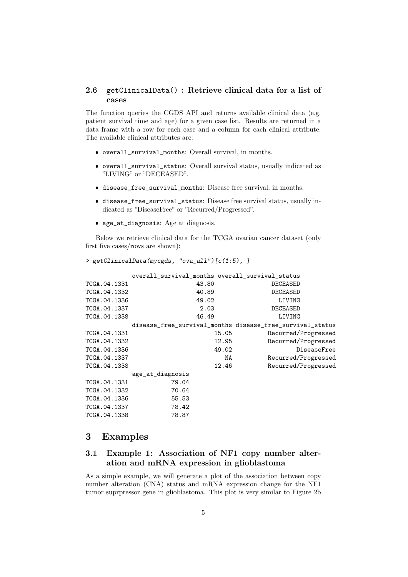#### 2.6 getClinicalData() : Retrieve clinical data for a list of cases

The function queries the CGDS API and returns available clinical data (e.g. patient survival time and age) for a given case list. Results are returned in a data frame with a row for each case and a column for each clinical attribute. The available clinical attributes are:

- overall\_survival\_months: Overall survival, in months.
- overall\_survival\_status: Overall survival status, usually indicated as "LIVING" or "DECEASED".
- disease\_free\_survival\_months: Disease free survival, in months.
- disease\_free\_survival\_status: Disease free survival status, usually indicated as "DiseaseFree" or "Recurred/Progressed".
- age\_at\_diagnosis: Age at diagnosis.

> getClinicalData(mycgds, "ova\_all")[c(1:5), ]

Below we retrieve clinical data for the TCGA ovarian cancer dataset (only first five cases/rows are shown):

```
overall_survival_months overall_survival_status
TCGA.04.1331 43.80 DECEASED
TCGA.04.1332 40.89 DECEASED
TCGA.04.1336 49.02 LIVING
TCGA.04.1337 2.03 DECEASED
TCGA.04.1338 46.49 LIVING
        disease_free_survival_months disease_free_survival_status
TCGA.04.1331 15.05 Recurred/Progressed<br>TCGA.04.1332 12.95 Recurred/Progressed
                                Recurred/Progressed
TCGA.04.1336 49.02 DiseaseFree
TCGA.04.1337 NA Recurred/Progressed
TCGA.04.1338 12.46 Recurred/Progressed
        age_at_diagnosis
TCGA.04.1331 79.04
TCGA.04.1332 70.64
TCGA.04.1336 55.53
TCGA.04.1337 78.42
TCGA.04.1338 78.87
```
## 3 Examples

## 3.1 Example 1: Association of NF1 copy number alteration and mRNA expression in glioblastoma

As a simple example, we will generate a plot of the association between copy number alteration (CNA) status and mRNA expression change for the NF1 tumor suprpressor gene in glioblastoma. This plot is very similar to Figure 2b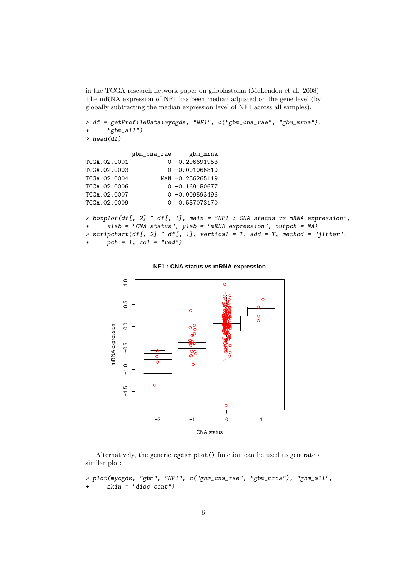in the TCGA research network paper on glioblastoma (McLendon et al. 2008). The mRNA expression of NF1 has been median adjusted on the gene level (by globally subtracting the median expression level of NF1 across all samples).

```
> df = getProfileData(mycgds, "NF1", c("gbm_cna_rae", "gbm_mrna"),
+ "gbm_all")
> head(df)
            gbm_cna_rae gbm_mrna
TCGA.02.0001 0 -0.296691953
TCGA.02.0003 0 -0.001066810
TCGA.02.0004 NaN -0.236265119
TCGA.02.0006 0 -0.169150677
TCGA.02.0007 0 -0.009593496
TCGA.02.0009 0 0.537073170
> boxplot(df[, 2] \tilde{ } df[, 1], main = "NF1 : CNA status vs mRNA expression",
+ xlab = "CNA status", ylab = "mRNA expression", outpch = NA)
> stripchart(df[, 2] \tilde{ } df[, 1], vertical = T, add = T, method = "jitter",
     pch = 1, col = "red")
```
#### **NF1 : CNA status vs mRNA expression**



Alternatively, the generic cgdsr plot() function can be used to generate a similar plot:

> plot(mycgds, "gbm", "NF1", c("gbm\_cna\_rae", "gbm\_mrna"), "gbm\_all", + skin = "disc\_cont")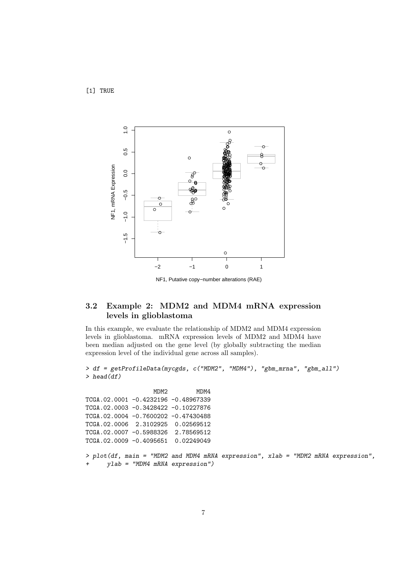[1] TRUE



NF1, Putative copy−number alterations (RAE)

### 3.2 Example 2: MDM2 and MDM4 mRNA expression levels in glioblastoma

In this example, we evaluate the relationship of MDM2 and MDM4 expression levels in glioblastoma. mRNA expression levels of MDM2 and MDM4 have been median adjusted on the gene level (by globally subtracting the median expression level of the individual gene across all samples).

> df = getProfileData(mycgds, c("MDM2", "MDM4"), "gbm\_mrna", "gbm\_all")  $>$  head(df)

MDM2 MDM4 TCGA.02.0001 -0.4232196 -0.48967339 TCGA.02.0003 -0.3428422 -0.10227876 TCGA.02.0004 -0.7600202 -0.47430488 TCGA.02.0006 2.3102925 0.02569512 TCGA.02.0007 -0.5988326 2.78569512 TCGA.02.0009 -0.4095651 0.02249049

> plot(df, main = "MDM2 and MDM4 mRNA expression", xlab = "MDM2 mRNA expression",  $ylab = "MDM4 mRNA expression")$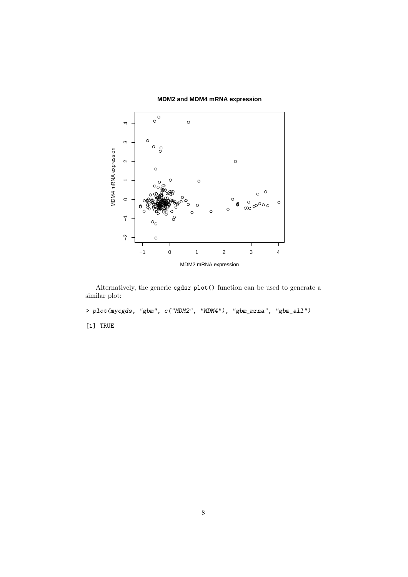

**MDM2 and MDM4 mRNA expression**

Alternatively, the generic cgdsr plot() function can be used to generate a similar plot:

> plot(mycgds, "gbm", c("MDM2", "MDM4"), "gbm\_mrna", "gbm\_all")

[1] TRUE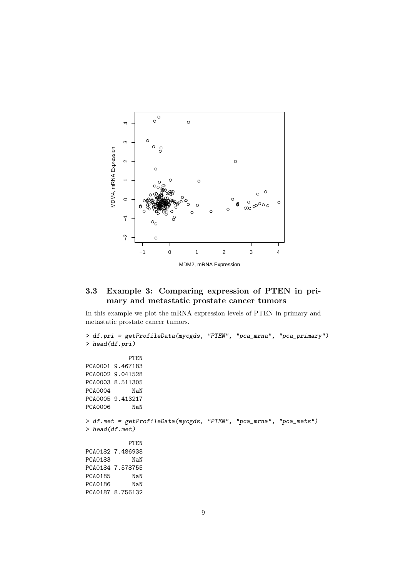

## 3.3 Example 3: Comparing expression of PTEN in primary and metastatic prostate cancer tumors

In this example we plot the mRNA expression levels of PTEN in primary and metastatic prostate cancer tumors.

```
> df.pri = getProfileData(mycgds, "PTEN", "pca_mrna", "pca_primary")
> head(df.pri)
           PTEN
PCA0001 9.467183
PCA0002 9.041528
PCA0003 8.511305
PCA0004 NaN
PCA0005 9.413217
PCA0006 NaN
> df.met = getProfileData(mycgds, "PTEN", "pca_mrna", "pca_mets")
> head(df.met)
           PTEN
PCA0182 7.486938
PCA0183 NaN
PCA0184 7.578755
PCA0185 NaN
PCA0186 NaN
PCA0187 8.756132
```